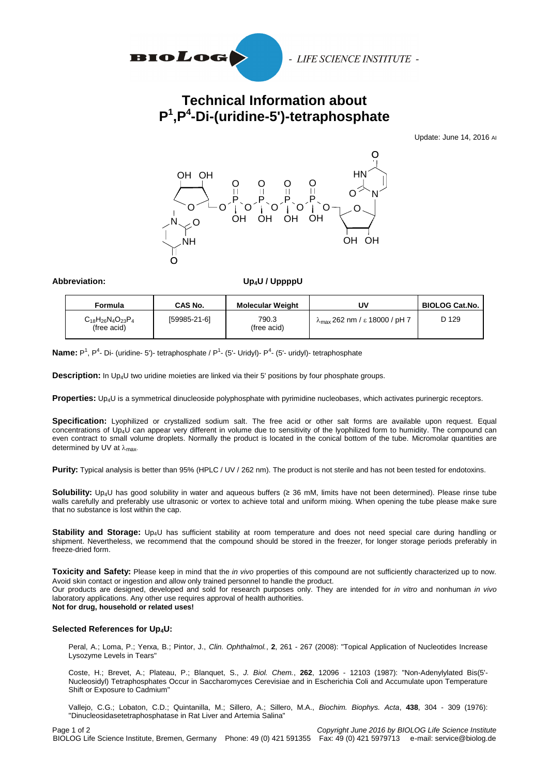

## **Technical Information about P 1 ,P<sup>4</sup> -Di-(uridine-5')-tetraphosphate**

Update: June 14, 2016 AI



Abbreviation: Up<sub>4</sub>U / UppppU

| <b>Formula</b>                                | CAS No.      | <b>Molecular Weight</b> | υv                                             | <b>BIOLOG Cat.No.</b> |
|-----------------------------------------------|--------------|-------------------------|------------------------------------------------|-----------------------|
| $C_{18}H_{26}N_{4}O_{23}P_{4}$<br>(free acid) | [59985-21-6] | 790.3<br>(free acid)    | $\lambda_{\text{max}}$ 262 nm / ε 18000 / pH 7 | D 129                 |

**Name:** P<sup>1</sup>, P<sup>4</sup>- Di- (uridine- 5')- tetraphosphate / P<sup>1</sup>- (5'- Uridyl)- P<sup>4</sup>- (5'- uridyl)- tetraphosphate

**Description:** In Up4U two uridine moieties are linked via their 5' positions by four phosphate groups.

**Properties:** Up4U is a symmetrical dinucleoside polyphosphate with pyrimidine nucleobases, which activates purinergic receptors.

**Specification:** Lyophilized or crystallized sodium salt. The free acid or other salt forms are available upon request. Equal concentrations of Up4U can appear very different in volume due to sensitivity of the lyophilized form to humidity. The compound can even contract to small volume droplets. Normally the product is located in the conical bottom of the tube. Micromolar quantities are determined by UV at  $\lambda_{\text{max}}$ .

**Purity:** Typical analysis is better than 95% (HPLC / UV / 262 nm). The product is not sterile and has not been tested for endotoxins.

**Solubility:** Up4U has good solubility in water and aqueous buffers (≥ 36 mM, limits have not been determined). Please rinse tube walls carefully and preferably use ultrasonic or vortex to achieve total and uniform mixing. When opening the tube please make sure that no substance is lost within the cap.

**Stability and Storage:** Up4U has sufficient stability at room temperature and does not need special care during handling or shipment. Nevertheless, we recommend that the compound should be stored in the freezer, for longer storage periods preferably in freeze-dried form.

**Toxicity and Safety:** Please keep in mind that the *in vivo* properties of this compound are not sufficiently characterized up to now. Avoid skin contact or ingestion and allow only trained personnel to handle the product.

Our products are designed, developed and sold for research purposes only. They are intended for *in vitro* and nonhuman *in vivo* laboratory applications. Any other use requires approval of health authorities.

**Not for drug, household or related uses!**

## **Selected References for Up4U:**

Peral, A.; Loma, P.; Yerxa, B.; Pintor, J., *Clin. Ophthalmol.*, **2**, 261 - 267 (2008): "Topical Application of Nucleotides Increase Lysozyme Levels in Tears"

Coste, H.; Brevet, A.; Plateau, P.; Blanquet, S., *J. Biol. Chem.*, **262**, 12096 - 12103 (1987): "Non-Adenylylated Bis(5'- Nucleosidyl) Tetraphosphates Occur in Saccharomyces Cerevisiae and in Escherichia Coli and Accumulate upon Temperature Shift or Exposure to Cadmium"

Vallejo, C.G.; Lobaton, C.D.; Quintanilla, M.; Sillero, A.; Sillero, M.A., *Biochim. Biophys. Acta*, **438**, 304 - 309 (1976): "Dinucleosidasetetraphosphatase in Rat Liver and Artemia Salina"